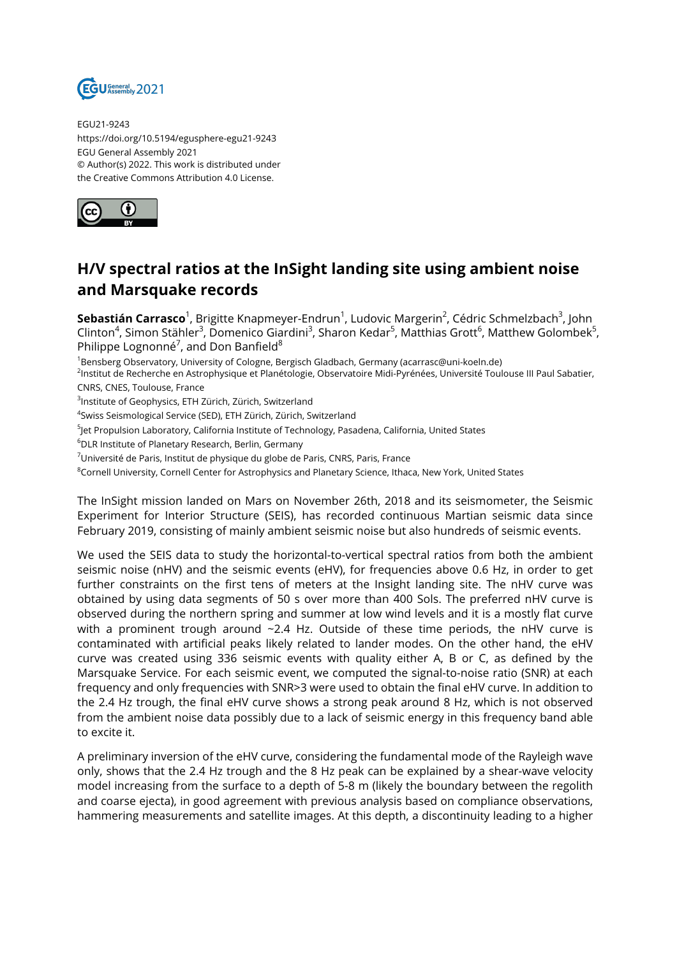

EGU21-9243 https://doi.org/10.5194/egusphere-egu21-9243 EGU General Assembly 2021 © Author(s) 2022. This work is distributed under the Creative Commons Attribution 4.0 License.



## **H/V spectral ratios at the InSight landing site using ambient noise and Marsquake records**

**Sebastián Carrasco**<sup>1</sup>, Brigitte Knapmeyer-Endrun<sup>1</sup>, Ludovic Margerin<sup>2</sup>, Cédric Schmelzbach<sup>3</sup>, John Clinton<sup>4</sup>, Simon Stähler<sup>3</sup>, Domenico Giardini<sup>3</sup>, Sharon Kedar<sup>5</sup>, Matthias Grott<sup>6</sup>, Matthew Golombek<sup>5</sup>, Philippe Lognonné<sup>7</sup>, and Don Banfield $^8$ 

<sup>1</sup>Bensberg Observatory, University of Cologne, Bergisch Gladbach, Germany (acarrasc@uni-koeln.de)

<sup>2</sup>lnstitut de Recherche en Astrophysique et Planétologie, Observatoire Midi-Pyrénées, Université Toulouse III Paul Sabatier, CNRS, CNES, Toulouse, France

<sup>3</sup>Institute of Geophysics, ETH Zürich, Zürich, Switzerland

4 Swiss Seismological Service (SED), ETH Zürich, Zürich, Switzerland

- <sup>5</sup>Jet Propulsion Laboratory, California Institute of Technology, Pasadena, California, United States
- <sup>6</sup>DLR Institute of Planetary Research, Berlin, Germany
- $7$ Université de Paris, Institut de physique du globe de Paris, CNRS, Paris, France
- <sup>8</sup>Cornell University, Cornell Center for Astrophysics and Planetary Science, Ithaca, New York, United States

The InSight mission landed on Mars on November 26th, 2018 and its seismometer, the Seismic Experiment for Interior Structure (SEIS), has recorded continuous Martian seismic data since February 2019, consisting of mainly ambient seismic noise but also hundreds of seismic events.

We used the SEIS data to study the horizontal-to-vertical spectral ratios from both the ambient seismic noise (nHV) and the seismic events (eHV), for frequencies above 0.6 Hz, in order to get further constraints on the first tens of meters at the Insight landing site. The nHV curve was obtained by using data segments of 50 s over more than 400 Sols. The preferred nHV curve is observed during the northern spring and summer at low wind levels and it is a mostly flat curve with a prominent trough around  $\sim$  2.4 Hz. Outside of these time periods, the nHV curve is contaminated with artificial peaks likely related to lander modes. On the other hand, the eHV curve was created using 336 seismic events with quality either A, B or C, as defined by the Marsquake Service. For each seismic event, we computed the signal-to-noise ratio (SNR) at each frequency and only frequencies with SNR>3 were used to obtain the final eHV curve. In addition to the 2.4 Hz trough, the final eHV curve shows a strong peak around 8 Hz, which is not observed from the ambient noise data possibly due to a lack of seismic energy in this frequency band able to excite it.

A preliminary inversion of the eHV curve, considering the fundamental mode of the Rayleigh wave only, shows that the 2.4 Hz trough and the 8 Hz peak can be explained by a shear-wave velocity model increasing from the surface to a depth of 5-8 m (likely the boundary between the regolith and coarse ejecta), in good agreement with previous analysis based on compliance observations, hammering measurements and satellite images. At this depth, a discontinuity leading to a higher